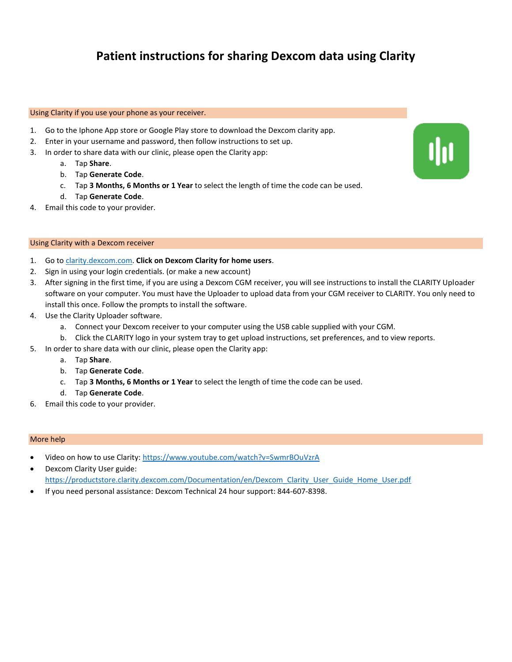### **Patient instructions for sharing Dexcom data using Clarity**

#### Using Clarity if you use your phone as your receiver.

- 1. Go to the Iphone App store or Google Play store to download the Dexcom clarity app.
- 2. Enter in your username and password, then follow instructions to set up.
- 3. In order to share data with our clinic, please open the Clarity app:
	- a. Tap **Share**.
	- b. Tap **Generate Code**.
	- c. Tap **3 Months, 6 Months or 1 Year** to select the length of time the code can be used.
	- d. Tap **Generate Code**.
- 4. Email this code to your provider.

#### Using Clarity with a Dexcom receiver

- 1. Go t[o clarity.dexcom.com.](file:///C:/Users/bmarks/Downloads/clarity.dexcom.com) **Click on Dexcom Clarity for home users**.
- 2. Sign in using your login credentials. (or make a new account)
- 3. After signing in the first time, if you are using a Dexcom CGM receiver, you will see instructions to install the CLARITY Uploader software on your computer. You must have the Uploader to upload data from your CGM receiver to CLARITY. You only need to install this once. Follow the prompts to install the software.
- 4. Use the Clarity Uploader software.
	- a. Connect your Dexcom receiver to your computer using the USB cable supplied with your CGM.
	- b. Click the CLARITY logo in your system tray to get upload instructions, set preferences, and to view reports.
- 5. In order to share data with our clinic, please open the Clarity app:
	- a. Tap **Share**.
	- b. Tap **Generate Code**.
	- c. Tap **3 Months, 6 Months or 1 Year** to select the length of time the code can be used.
	- d. Tap **Generate Code**.
- 6. Email this code to your provider.

- Video on how to use Clarity[: https://www.youtube.com/watch?v=SwmrBOuVzrA](https://www.youtube.com/watch?v=SwmrBOuVzrA)
- Dexcom Clarity User guide: [https://productstore.clarity.dexcom.com/Documentation/en/Dexcom\\_Clarity\\_User\\_Guide\\_Home\\_User.pdf](https://productstore.clarity.dexcom.com/Documentation/en/Dexcom_Clarity_User_Guide_Home_User.pdf)
- If you need personal assistance: Dexcom Technical 24 hour support: 844-607-8398.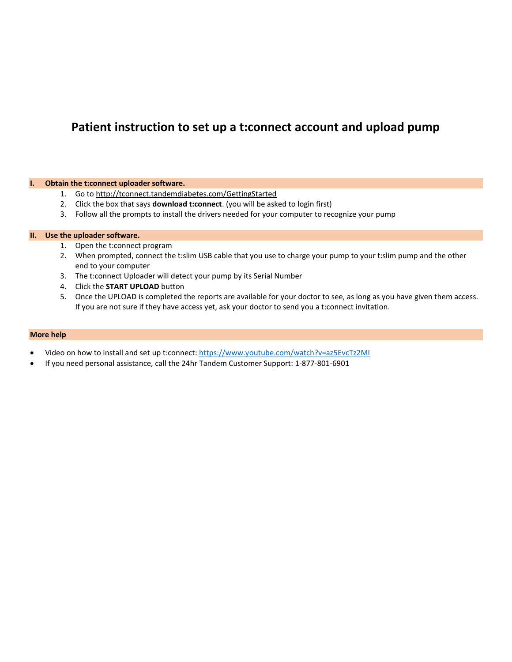### **Patient instruction to set up a t:connect account and upload pump**

#### **I. Obtain the t:connect uploader software.**

- 1. Go t[o http://tconnect.tandemdiabetes.com/GettingStarted](http://tconnect.tandemdiabetes.com/GettingStarted)
- 2. Click the box that says **download t:connect**. (you will be asked to login first)
- 3. Follow all the prompts to install the drivers needed for your computer to recognize your pump

#### **II. Use the uploader software.**

- 1. Open the t:connect program
- 2. When prompted, connect the t:slim USB cable that you use to charge your pump to your t:slim pump and the other end to your computer
- 3. The t:connect Uploader will detect your pump by its Serial Number
- 4. Click the **START UPLOAD** button
- 5. Once the UPLOAD is completed the reports are available for your doctor to see, as long as you have given them access. If you are not sure if they have access yet, ask your doctor to send you a t:connect invitation.

- Video on how to install and set up t:connect:<https://www.youtube.com/watch?v=az5EvcTz2MI>
- If you need personal assistance, call the 24hr Tandem Customer Support: 1-877-801-6901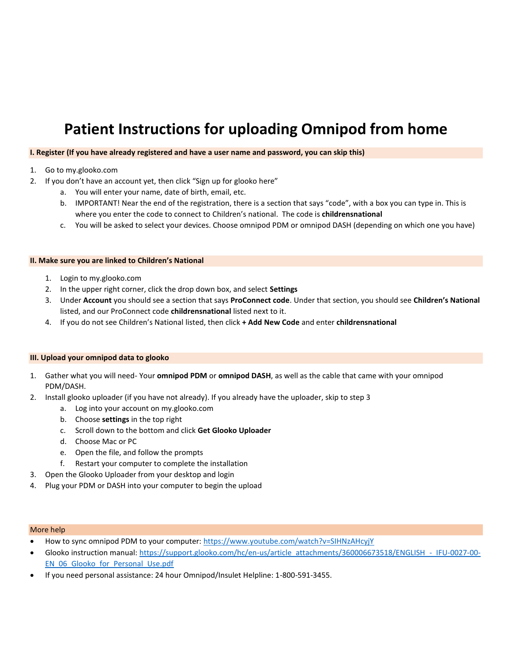# **Patient Instructions for uploading Omnipod from home**

#### **I. Register (If you have already registered and have a user name and password, you can skip this)**

- 1. Go to my.glooko.com
- 2. If you don't have an account yet, then click "Sign up for glooko here"
	- a. You will enter your name, date of birth, email, etc.
	- b. IMPORTANT! Near the end of the registration, there is a section that says "code", with a box you can type in. This is where you enter the code to connect to Children's national. The code is **childrensnational**
	- c. You will be asked to select your devices. Choose omnipod PDM or omnipod DASH (depending on which one you have)

#### **II. Make sure you are linked to Children's National**

- 1. Login to my.glooko.com
- 2. In the upper right corner, click the drop down box, and select **Settings**
- 3. Under **Account** you should see a section that says **ProConnect code**. Under that section, you should see **Children's National** listed, and our ProConnect code **childrensnational** listed next to it.
- 4. If you do not see Children's National listed, then click **+ Add New Code** and enter **childrensnational**

#### **III. Upload your omnipod data to glooko**

- 1. Gather what you will need- Your **omnipod PDM** or **omnipod DASH**, as well as the cable that came with your omnipod PDM/DASH.
- 2. Install glooko uploader (if you have not already). If you already have the uploader, skip to step 3
	- a. Log into your account on my.glooko.com
	- b. Choose **settings** in the top right
	- c. Scroll down to the bottom and click **Get Glooko Uploader**
	- d. Choose Mac or PC
	- e. Open the file, and follow the prompts
	- f. Restart your computer to complete the installation
- 3. Open the Glooko Uploader from your desktop and login
- 4. Plug your PDM or DASH into your computer to begin the upload

- How to sync omnipod PDM to your computer:<https://www.youtube.com/watch?v=SIHNzAHcyjY>
- Glooko instruction manual[: https://support.glooko.com/hc/en-us/article\\_attachments/360006673518/ENGLISH\\_-\\_IFU-0027-00-](https://support.glooko.com/hc/en-us/article_attachments/360006673518/ENGLISH_-_IFU-0027-00-EN_06_Glooko_for_Personal_Use.pdf) [EN\\_06\\_Glooko\\_for\\_Personal\\_Use.pdf](https://support.glooko.com/hc/en-us/article_attachments/360006673518/ENGLISH_-_IFU-0027-00-EN_06_Glooko_for_Personal_Use.pdf)
- If you need personal assistance: 24 hour Omnipod/Insulet Helpline: 1-800-591-3455.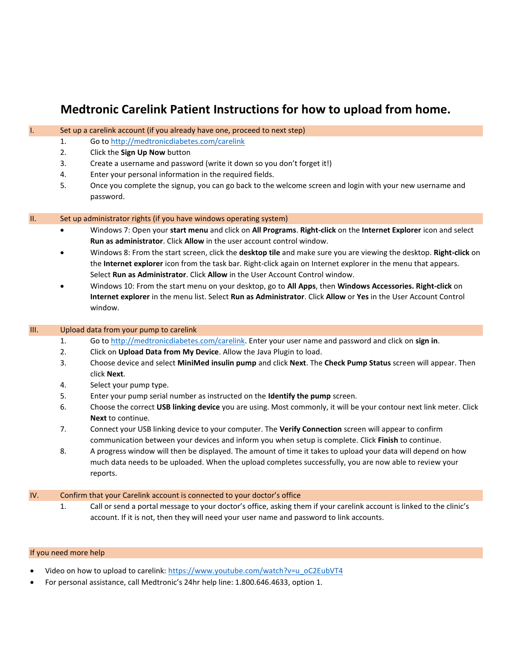## **Medtronic Carelink Patient Instructions for how to upload from home.**

I. Set up a carelink account (if you already have one, proceed to next step)

|             | 1.                                                                      | Go to http://medtronicdiabetes.com/carelink                                                                                                                                                                                                                                                                          |
|-------------|-------------------------------------------------------------------------|----------------------------------------------------------------------------------------------------------------------------------------------------------------------------------------------------------------------------------------------------------------------------------------------------------------------|
|             | 2.                                                                      | Click the Sign Up Now button                                                                                                                                                                                                                                                                                         |
|             | 3.                                                                      | Create a username and password (write it down so you don't forget it!)                                                                                                                                                                                                                                               |
|             | 4.                                                                      | Enter your personal information in the required fields.                                                                                                                                                                                                                                                              |
|             | 5.                                                                      | Once you complete the signup, you can go back to the welcome screen and login with your new username and<br>password.                                                                                                                                                                                                |
|             |                                                                         |                                                                                                                                                                                                                                                                                                                      |
| П.          | Set up administrator rights (if you have windows operating system)      |                                                                                                                                                                                                                                                                                                                      |
|             |                                                                         | Windows 7: Open your start menu and click on All Programs. Right-click on the Internet Explorer icon and select<br>Run as administrator. Click Allow in the user account control window.                                                                                                                             |
|             |                                                                         | Windows 8: From the start screen, click the desktop tile and make sure you are viewing the desktop. Right-click on<br>the Internet explorer icon from the task bar. Right-click again on Internet explorer in the menu that appears.<br>Select Run as Administrator. Click Allow in the User Account Control window. |
|             |                                                                         | Windows 10: From the start menu on your desktop, go to All Apps, then Windows Accessories. Right-click on<br>Internet explorer in the menu list. Select Run as Administrator. Click Allow or Yes in the User Account Control<br>window.                                                                              |
| <b>III.</b> | Upload data from your pump to carelink                                  |                                                                                                                                                                                                                                                                                                                      |
|             | 1.                                                                      | Go to http://medtronicdiabetes.com/carelink. Enter your user name and password and click on sign in.                                                                                                                                                                                                                 |
|             | 2.                                                                      | Click on Upload Data from My Device. Allow the Java Plugin to load.                                                                                                                                                                                                                                                  |
|             | 3.                                                                      | Choose device and select MiniMed insulin pump and click Next. The Check Pump Status screen will appear. Then<br>click Next.                                                                                                                                                                                          |
|             | 4.                                                                      | Select your pump type.                                                                                                                                                                                                                                                                                               |
|             | 5.                                                                      | Enter your pump serial number as instructed on the Identify the pump screen.                                                                                                                                                                                                                                         |
|             | 6.                                                                      | Choose the correct USB linking device you are using. Most commonly, it will be your contour next link meter. Click<br>Next to continue.                                                                                                                                                                              |
|             | 7.                                                                      | Connect your USB linking device to your computer. The Verify Connection screen will appear to confirm<br>communication between your devices and inform you when setup is complete. Click Finish to continue.                                                                                                         |
|             | 8.                                                                      | A progress window will then be displayed. The amount of time it takes to upload your data will depend on how<br>much data needs to be uploaded. When the upload completes successfully, you are now able to review your<br>reports.                                                                                  |
| IV.         | Confirm that your Carelink account is connected to your doctor's office |                                                                                                                                                                                                                                                                                                                      |
|             | 1.                                                                      | Call or send a portal message to your doctor's office, asking them if your carelink account is linked to the clinic's<br>account. If it is not, then they will need your user name and password to link accounts.                                                                                                    |

### If you need more help

- Video on how to upload to carelink: [https://www.youtube.com/watch?v=u\\_oC2EubVT4](https://www.youtube.com/watch?v=u_oC2EubVT4)
- For personal assistance, call Medtronic's 24hr help line: 1.800.646.4633, option 1.